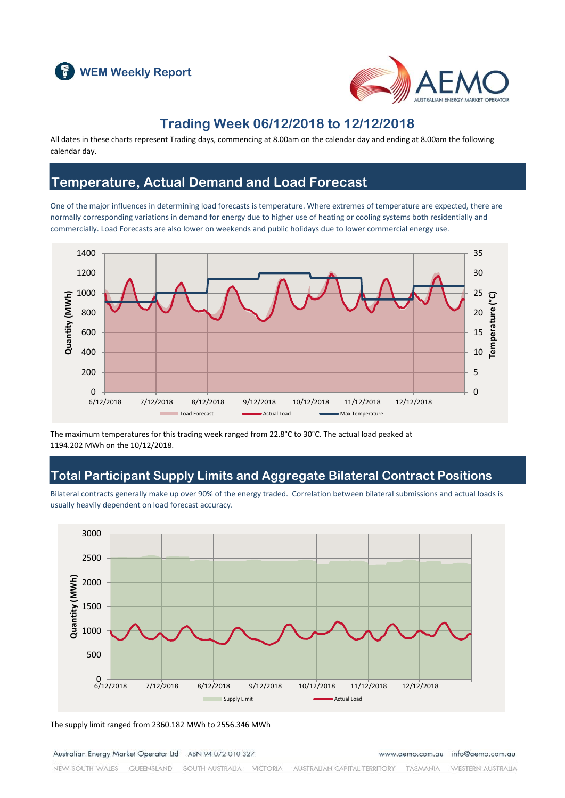



### **Trading Week 06/12/2018 to 12/12/2018**

All dates in these charts represent Trading days, commencing at 8.00am on the calendar day and ending at 8.00am the following calendar day.

### **Temperature, Actual Demand and Load Forecast**

One of the major influences in determining load forecasts is temperature. Where extremes of temperature are expected, there are normally corresponding variations in demand for energy due to higher use of heating or cooling systems both residentially and commercially. Load Forecasts are also lower on weekends and public holidays due to lower commercial energy use.



The maximum temperatures for this trading week ranged from 22.8°C to 30°C. The actual load peaked at 1194.202 MWh on the 10/12/2018.

### **Total Participant Supply Limits and Aggregate Bilateral Contract Positions**

Bilateral contracts generally make up over 90% of the energy traded. Correlation between bilateral submissions and actual loads is usually heavily dependent on load forecast accuracy.



The supply limit ranged from 2360.182 MWh to 2556.346 MWh

Australian Energy Market Operator Ltd ABN 94 072 010 327

www.aemo.com.au info@aemo.com.au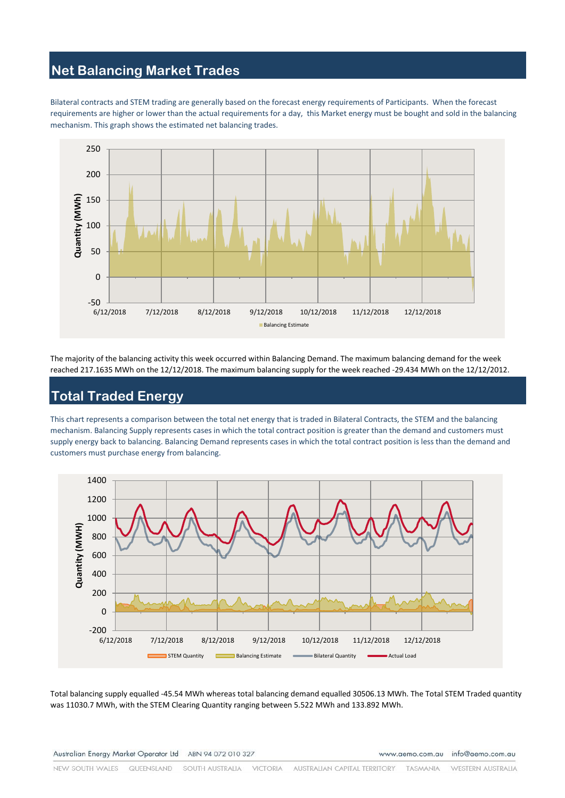# **Net Balancing Market Trades**

Bilateral contracts and STEM trading are generally based on the forecast energy requirements of Participants. When the forecast requirements are higher or lower than the actual requirements for a day, this Market energy must be bought and sold in the balancing mechanism. This graph shows the estimated net balancing trades.



The majority of the balancing activity this week occurred within Balancing Demand. The maximum balancing demand for the week reached 217.1635 MWh on the 12/12/2018. The maximum balancing supply for the week reached -29.434 MWh on the 12/12/2012.

# **Total Traded Energy**

This chart represents a comparison between the total net energy that is traded in Bilateral Contracts, the STEM and the balancing mechanism. Balancing Supply represents cases in which the total contract position is greater than the demand and customers must supply energy back to balancing. Balancing Demand represents cases in which the total contract position is less than the demand and customers must purchase energy from balancing.



Total balancing supply equalled -45.54 MWh whereas total balancing demand equalled 30506.13 MWh. The Total STEM Traded quantity was 11030.7 MWh, with the STEM Clearing Quantity ranging between 5.522 MWh and 133.892 MWh.